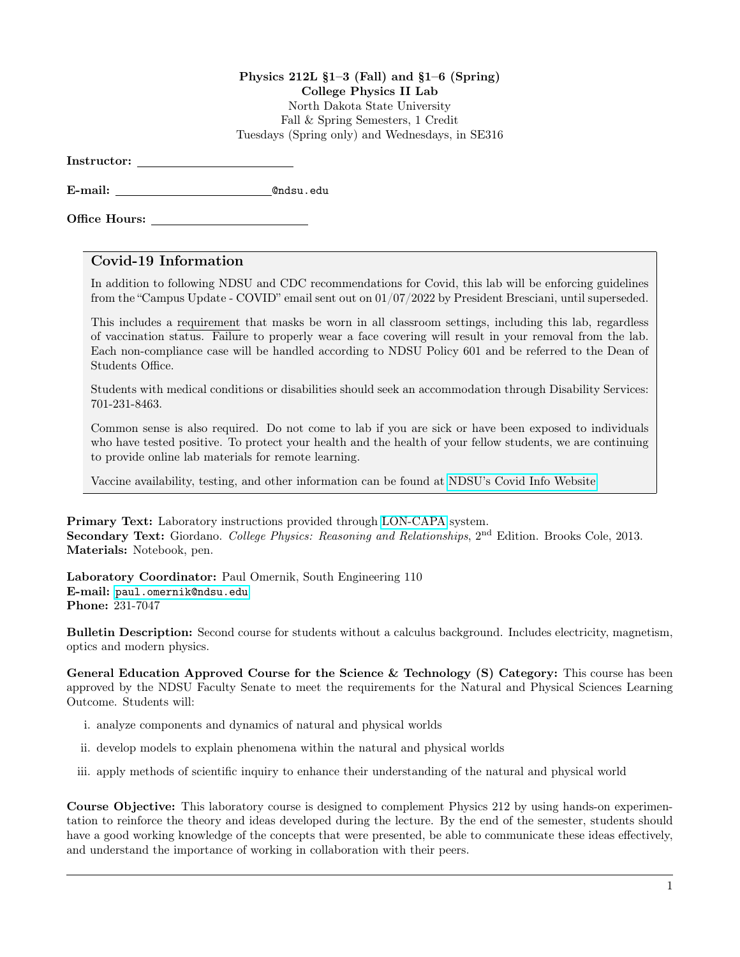## Physics  $212L \t§1-3$  (Fall) and  $§1-6$  (Spring) College Physics II Lab North Dakota State University Fall & Spring Semesters, 1 Credit Tuesdays (Spring only) and Wednesdays, in SE316

Instructor:

E-mail: @ndsu.edu

Office Hours:

## Covid-19 Information

In addition to following NDSU and CDC recommendations for Covid, this lab will be enforcing guidelines from the "Campus Update - COVID" email sent out on 01/07/2022 by President Bresciani, until superseded.

This includes a requirement that masks be worn in all classroom settings, including this lab, regardless of vaccination status. Failure to properly wear a face covering will result in your removal from the lab. Each non-compliance case will be handled according to NDSU Policy 601 and be referred to the Dean of Students Office.

Students with medical conditions or disabilities should seek an accommodation through Disability Services: 701-231-8463.

Common sense is also required. Do not come to lab if you are sick or have been exposed to individuals who have tested positive. To protect your health and the health of your fellow students, we are continuing to provide online lab materials for remote learning.

Vaccine availability, testing, and other information can be found at [NDSU's Covid Info Website.](https://www.ndsu.edu/studenthealthservice/patient_resources/covid_19_information/)

Primary Text: Laboratory instructions provided through [LON-CAPA](https://www.ndsu.edu/physics/students/lon_capa/#c38395) system. Secondary Text: Giordano. College Physics: Reasoning and Relationships, 2<sup>nd</sup> Edition. Brooks Cole, 2013. Materials: Notebook, pen.

Laboratory Coordinator: Paul Omernik, South Engineering 110 E-mail: <paul.omernik@ndsu.edu> Phone: 231-7047

Bulletin Description: Second course for students without a calculus background. Includes electricity, magnetism, optics and modern physics.

General Education Approved Course for the Science & Technology (S) Category: This course has been approved by the NDSU Faculty Senate to meet the requirements for the Natural and Physical Sciences Learning Outcome. Students will:

- i. analyze components and dynamics of natural and physical worlds
- ii. develop models to explain phenomena within the natural and physical worlds
- iii. apply methods of scientific inquiry to enhance their understanding of the natural and physical world

Course Objective: This laboratory course is designed to complement Physics 212 by using hands-on experimentation to reinforce the theory and ideas developed during the lecture. By the end of the semester, students should have a good working knowledge of the concepts that were presented, be able to communicate these ideas effectively, and understand the importance of working in collaboration with their peers.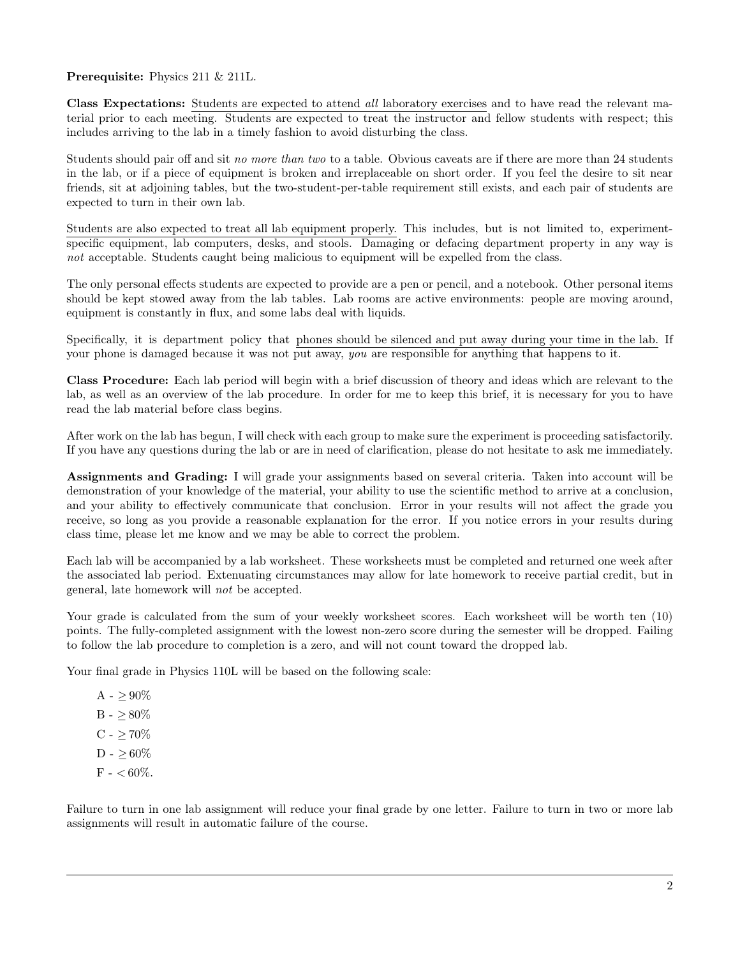Prerequisite: Physics 211 & 211L.

Class Expectations: Students are expected to attend all laboratory exercises and to have read the relevant material prior to each meeting. Students are expected to treat the instructor and fellow students with respect; this includes arriving to the lab in a timely fashion to avoid disturbing the class.

Students should pair off and sit no more than two to a table. Obvious caveats are if there are more than 24 students in the lab, or if a piece of equipment is broken and irreplaceable on short order. If you feel the desire to sit near friends, sit at adjoining tables, but the two-student-per-table requirement still exists, and each pair of students are expected to turn in their own lab.

Students are also expected to treat all lab equipment properly. This includes, but is not limited to, experimentspecific equipment, lab computers, desks, and stools. Damaging or defacing department property in any way is not acceptable. Students caught being malicious to equipment will be expelled from the class.

The only personal effects students are expected to provide are a pen or pencil, and a notebook. Other personal items should be kept stowed away from the lab tables. Lab rooms are active environments: people are moving around, equipment is constantly in flux, and some labs deal with liquids.

Specifically, it is department policy that phones should be silenced and put away during your time in the lab. If your phone is damaged because it was not put away, you are responsible for anything that happens to it.

Class Procedure: Each lab period will begin with a brief discussion of theory and ideas which are relevant to the lab, as well as an overview of the lab procedure. In order for me to keep this brief, it is necessary for you to have read the lab material before class begins.

After work on the lab has begun, I will check with each group to make sure the experiment is proceeding satisfactorily. If you have any questions during the lab or are in need of clarification, please do not hesitate to ask me immediately.

Assignments and Grading: I will grade your assignments based on several criteria. Taken into account will be demonstration of your knowledge of the material, your ability to use the scientific method to arrive at a conclusion, and your ability to effectively communicate that conclusion. Error in your results will not affect the grade you receive, so long as you provide a reasonable explanation for the error. If you notice errors in your results during class time, please let me know and we may be able to correct the problem.

Each lab will be accompanied by a lab worksheet. These worksheets must be completed and returned one week after the associated lab period. Extenuating circumstances may allow for late homework to receive partial credit, but in general, late homework will not be accepted.

Your grade is calculated from the sum of your weekly worksheet scores. Each worksheet will be worth ten  $(10)$ points. The fully-completed assignment with the lowest non-zero score during the semester will be dropped. Failing to follow the lab procedure to completion is a zero, and will not count toward the dropped lab.

Your final grade in Physics 110L will be based on the following scale:

 $A - > 90\%$  $B - > 80\%$  $C - \ge 70\%$  $D - > 60\%$  $F - < 60\%$ .

Failure to turn in one lab assignment will reduce your final grade by one letter. Failure to turn in two or more lab assignments will result in automatic failure of the course.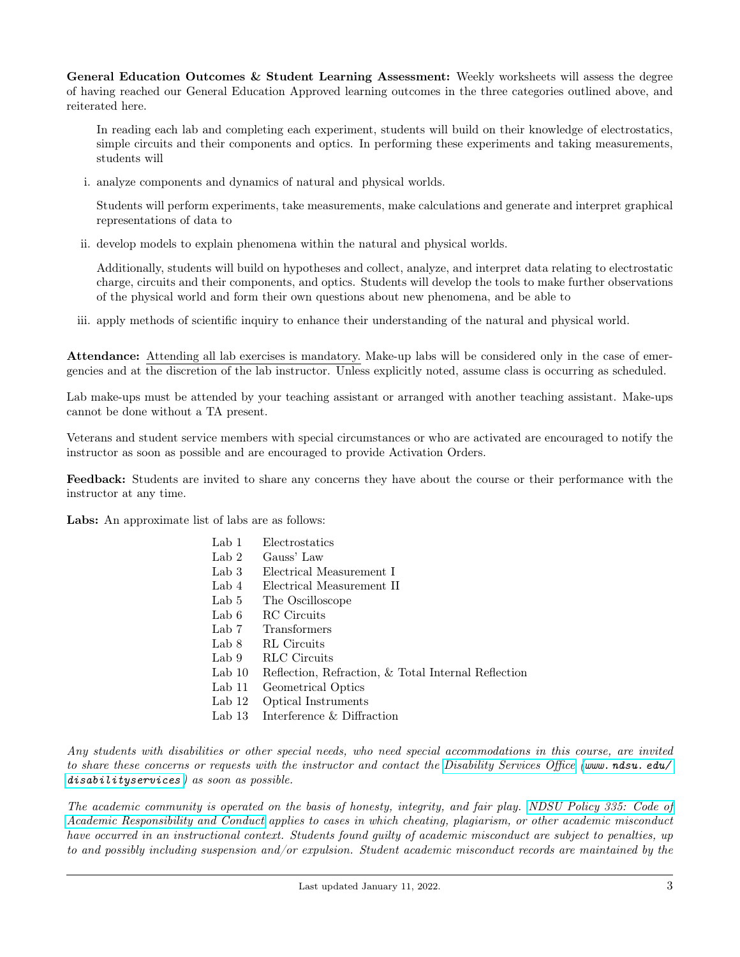General Education Outcomes & Student Learning Assessment: Weekly worksheets will assess the degree of having reached our General Education Approved learning outcomes in the three categories outlined above, and reiterated here.

In reading each lab and completing each experiment, students will build on their knowledge of electrostatics, simple circuits and their components and optics. In performing these experiments and taking measurements, students will

i. analyze components and dynamics of natural and physical worlds.

Students will perform experiments, take measurements, make calculations and generate and interpret graphical representations of data to

ii. develop models to explain phenomena within the natural and physical worlds.

Additionally, students will build on hypotheses and collect, analyze, and interpret data relating to electrostatic charge, circuits and their components, and optics. Students will develop the tools to make further observations of the physical world and form their own questions about new phenomena, and be able to

iii. apply methods of scientific inquiry to enhance their understanding of the natural and physical world.

Attendance: Attending all lab exercises is mandatory. Make-up labs will be considered only in the case of emergencies and at the discretion of the lab instructor. Unless explicitly noted, assume class is occurring as scheduled.

Lab make-ups must be attended by your teaching assistant or arranged with another teaching assistant. Make-ups cannot be done without a TA present.

Veterans and student service members with special circumstances or who are activated are encouraged to notify the instructor as soon as possible and are encouraged to provide Activation Orders.

Feedback: Students are invited to share any concerns they have about the course or their performance with the instructor at any time.

Labs: An approximate list of labs are as follows:

| Electrostatics                                      |
|-----------------------------------------------------|
| Gauss' Law                                          |
| Electrical Measurement I                            |
| Electrical Measurement II                           |
| The Oscilloscope                                    |
| <b>RC</b> Circuits                                  |
| Transformers                                        |
| <b>RL</b> Circuits                                  |
| RLC Circuits                                        |
| Reflection, Refraction, & Total Internal Reflection |
| Geometrical Optics                                  |
| Optical Instruments                                 |
| Interference & Diffraction                          |
|                                                     |

Any students with disabilities or other special needs, who need special accommodations in this course, are invited to share these concerns or requests with the instructor and contact the [Disability Services Office](https://www.ndsu.edu/disabilityservices/) (www.ndsu.edu/  $disability services$  ) as soon as possible.

The academic community is operated on the basis of honesty, integrity, and fair play. [NDSU Policy 335: Code of](https://www.ndsu.edu/fileadmin/policy/335.pdf) [Academic Responsibility and Conduct](https://www.ndsu.edu/fileadmin/policy/335.pdf) applies to cases in which cheating, plagiarism, or other academic misconduct have occurred in an instructional context. Students found guilty of academic misconduct are subject to penalties, up to and possibly including suspension and/or expulsion. Student academic misconduct records are maintained by the